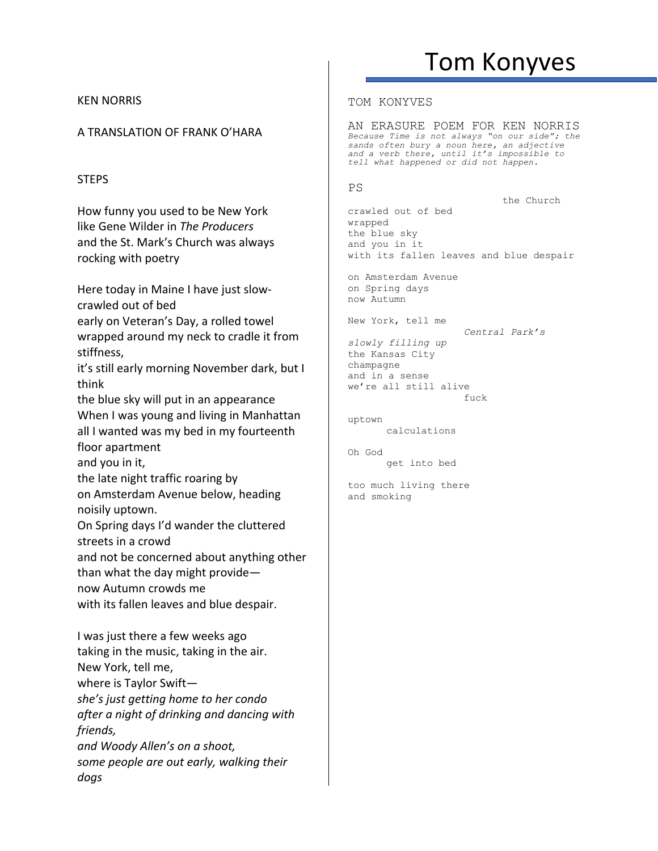# Tom Konyves

the Church

#### KEN NORRIS

## A TRANSLATION OF FRANK O'HARA

## **STEPS**

How funny you used to be New York like Gene Wilder in *The Producers* and the St. Mark's Church was always rocking with poetry

Here today in Maine I have just slowcrawled out of bed early on Veteran's Day, a rolled towel wrapped around my neck to cradle it from stiffness, it's still early morning November dark, but I think the blue sky will put in an appearance When I was young and living in Manhattan all I wanted was my bed in my fourteenth floor apartment and you in it, the late night traffic roaring by on Amsterdam Avenue below, heading noisily uptown. On Spring days I'd wander the cluttered streets in a crowd and not be concerned about anything other than what the day might provide now Autumn crowds me with its fallen leaves and blue despair. I was just there a few weeks ago taking in the music, taking in the air. New York, tell me, where is Taylor Swift *she's just getting home to her condo after a night of drinking and dancing with friends,*

*and Woody Allen's on a shoot, some people are out early, walking their dogs*

#### TOM KONYVES

AN ERASURE POEM FOR KEN NORRIS *Because Time is not always "on our side"; the sands often bury a noun here, an adjective and a verb there, until it's impossible to tell what happened or did not happen.*

#### PS

crawled out of bed wrapped the blue sky and you in it with its fallen leaves and blue despair

on Amsterdam Avenue on Spring days now Autumn

New York, tell me

*Central Park's slowly filling up* the Kansas City champagne and in a sense we're all still alive  $f$ uck

uptown calculations

Oh God get into bed

too much living there and smoking